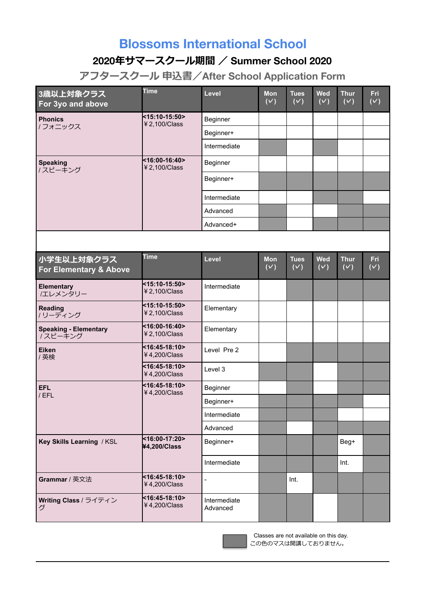## **Blossoms International School**

## **2020年サマースクール期間 / Summer School 2020**

**アフタースクール 申込書/After School Application Form**

| 3歳以上対象クラス<br>For 3yo and above          | <b>Time</b>                    | Level                    | <b>Mon</b><br>(V) | <b>Tues</b><br>(V) | <b>Wed</b><br>(V)              | <b>Thur</b><br>(V) | Fri<br>(V) |
|-----------------------------------------|--------------------------------|--------------------------|-------------------|--------------------|--------------------------------|--------------------|------------|
| <b>Phonics</b><br>/フォニックス               | <15:10-15:50><br>¥ 2,100/Class | Beginner                 |                   |                    |                                |                    |            |
|                                         |                                | Beginner+                |                   |                    |                                |                    |            |
|                                         |                                | Intermediate             |                   |                    |                                |                    |            |
| <b>Speaking</b><br>/スピーキング              | <16:00-16:40><br>¥ 2,100/Class | Beginner                 |                   |                    |                                |                    |            |
|                                         |                                | Beginner+                |                   |                    |                                |                    |            |
|                                         |                                | Intermediate             |                   |                    |                                |                    |            |
|                                         |                                | Advanced                 |                   |                    |                                |                    |            |
|                                         |                                | Advanced+                |                   |                    |                                |                    |            |
|                                         |                                |                          |                   |                    |                                |                    |            |
| 小学生以上対象クラス<br>For Elementary & Above    | <b>Time</b>                    | Level                    | <b>Mon</b><br>(V) | <b>Tues</b><br>(V) | <b>Wed</b><br>$\overline{(v)}$ | <b>Thur</b><br>(V) | Fri<br>(V) |
| Elementary<br>/エレメンタリー                  | <15:10-15:50><br>¥ 2,100/Class | Intermediate             |                   |                    |                                |                    |            |
| <b>Reading</b><br>/ リーディング              | <15:10-15:50><br>¥ 2,100/Class | Elementary               |                   |                    |                                |                    |            |
| <b>Speaking - Elementary</b><br>ノスピーキング | <16:00-16:40><br>¥ 2,100/Class | Elementary               |                   |                    |                                |                    |            |
| <b>Eiken</b><br>/ 英検                    | <16:45-18:10><br>¥4,200/Class  | Level Pre 2              |                   |                    |                                |                    |            |
|                                         | <16:45-18:10><br>¥4,200/Class  | Level 3                  |                   |                    |                                |                    |            |
| EFL<br>/EFL                             | <16:45-18:10><br>¥4,200/Class  | Beginner                 |                   |                    |                                |                    |            |
|                                         |                                | Beginner+                |                   |                    |                                |                    |            |
|                                         |                                | Intermediate             |                   |                    |                                |                    |            |
|                                         |                                | Advanced                 |                   |                    |                                |                    |            |
| Key Skills Learning / KSL               | <16:00-17:20><br>¥4,200/Class  | Beginner+                |                   |                    |                                | Beg+               |            |
|                                         |                                | Intermediate             |                   |                    |                                | Int.               |            |
| Grammar / 英文法                           | <16:45-18:10><br>¥4,200/Class  |                          |                   | Int.               |                                |                    |            |
| Writing Class / ライティン<br>グ              | <16:45-18:10><br>¥4,200/Class  | Intermediate<br>Advanced |                   |                    |                                |                    |            |

Classes are not available on this day. この色のマスは開講しておりません。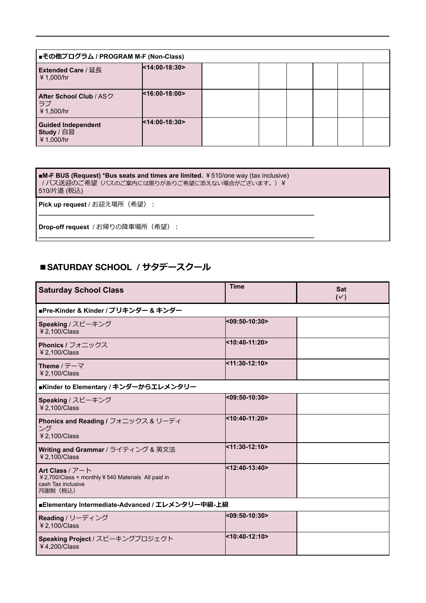| ■その他プログラム / PROGRAM M-F (Non-Class)                   |                  |  |  |  |  |  |  |
|-------------------------------------------------------|------------------|--|--|--|--|--|--|
| LExtended Care / 延長<br>¥ 1,000/hr                     | $14:00-18:30$    |  |  |  |  |  |  |
| <b>After School Club / ASク</b><br> ラブ<br>¥ 1,500/hr   | $k16:00-18:00$   |  |  |  |  |  |  |
| <b>Guided Independent</b><br>Study / 自習<br>¥ 1,000/hr | $<$ 14:00-18:30> |  |  |  |  |  |  |

■**M-F BUS (Request) \*Bus seats and times are limited.** ¥510/one way (tax inclusive) /バス送迎のご希望(バスのご案内には限りがありご希望に添えない場合がございます。) ¥ 510/片道 (税込)

**\_\_\_\_\_\_\_\_\_\_\_\_\_\_\_\_\_\_\_\_\_\_\_\_\_\_\_\_\_\_\_\_\_\_\_\_\_\_\_\_\_\_\_\_\_\_\_\_\_\_\_\_\_\_\_\_\_\_\_\_\_\_\_\_\_\_\_\_\_\_\_\_\_\_\_\_\_** 

**\_\_\_\_\_\_\_\_\_\_\_\_\_\_\_\_\_\_\_\_\_\_\_\_\_\_\_\_\_\_\_\_\_\_\_\_\_\_\_\_\_\_\_\_\_\_\_\_\_\_\_\_\_\_\_\_\_\_\_\_\_\_\_\_\_\_\_\_\_\_\_\_\_\_\_\_\_** 

**Pick up request / お迎え場所 (希望):** 

**Drop-off request / お帰りの降車場所 (希望):** 

## **■SATURDAY SCHOOL / サタデースクール**

| <b>Saturday School Class</b>                                                                                             | <b>Time</b>   | <b>Sat</b><br>$(\vee)$ |  |  |  |  |
|--------------------------------------------------------------------------------------------------------------------------|---------------|------------------------|--|--|--|--|
| ■Pre-Kinder & Kinder / プリキンダー & キンダー                                                                                     |               |                        |  |  |  |  |
| Speaking / スピーキング<br>¥ 2,100/Class                                                                                       | <09:50-10:30> |                        |  |  |  |  |
| Phonics / フォニックス<br>¥ 2,100/Class                                                                                        | <10:40-11:20> |                        |  |  |  |  |
| Theme / $\overline{\tau}$ - $\overline{\tau}$<br>¥ 2,100/Class                                                           | <11:30-12:10> |                        |  |  |  |  |
| ■Kinder to Elementary / キンダーからエレメンタリー                                                                                    |               |                        |  |  |  |  |
| Speaking / スピーキング<br>¥ 2,100/Class                                                                                       | <09:50-10:30> |                        |  |  |  |  |
| Phonics and Reading / フォニックス & リーディ<br>ング<br>$42.100/C$ lass                                                             | <10:40-11:20> |                        |  |  |  |  |
| Writing and Grammar / ライティング & 英文法<br>¥ 2,100/Class                                                                      | <11:30-12:10> |                        |  |  |  |  |
| Art Class / $\nabla$ – $\nabla$<br>¥ 2,700/Class + monthly ¥ 540 Materials All paid in<br>cash Tax inclusive<br>月謝制 (税込) | <12:40-13:40> |                        |  |  |  |  |
| ■Elementary Intermediate-Advanced / エレメンタリー中級-上級                                                                         |               |                        |  |  |  |  |
| Reading / リーディング<br>¥ 2,100/Class                                                                                        | <09:50-10:30> |                        |  |  |  |  |
| Speaking Project / スピーキングプロジェクト<br>¥4,200/Class                                                                          | <10:40-12:10> |                        |  |  |  |  |